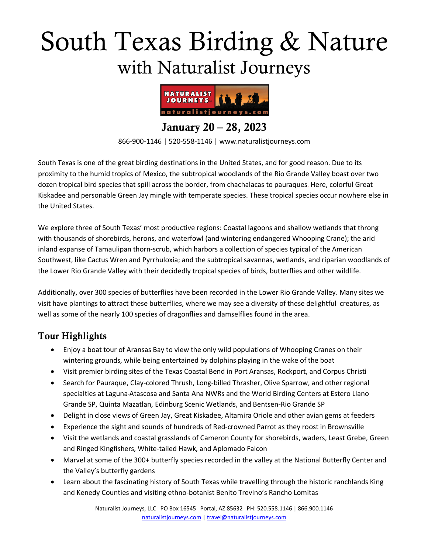# South Texas Birding & Nature with Naturalist Journeys



January 20 – 28, 2023

866-900-1146 | 520-558-1146 | www.naturalistjourneys.com

South Texas is one of the great birding destinations in the United States, and for good reason. Due to its proximity to the humid tropics of Mexico, the subtropical woodlands of the Rio Grande Valley boast over two dozen tropical bird species that spill across the border, from chachalacas to pauraques. Here, colorful Great Kiskadee and personable Green Jay mingle with temperate species. These tropical species occur nowhere else in the United States.

We explore three of South Texas' most productive regions: Coastal lagoons and shallow wetlands that throng with thousands of shorebirds, herons, and waterfowl (and wintering endangered Whooping Crane); the arid inland expanse of Tamaulipan thorn-scrub, which harbors a collection of species typical of the American Southwest, like Cactus Wren and Pyrrhuloxia; and the subtropical savannas, wetlands, and riparian woodlands of the Lower Rio Grande Valley with their decidedly tropical species of birds, butterflies and other wildlife.

Additionally, over 300 species of butterflies have been recorded in the Lower Rio Grande Valley. Many sites we visit have plantings to attract these butterflies, where we may see a diversity of these delightful creatures, as well as some of the nearly 100 species of dragonflies and damselflies found in the area.

## Tour Highlights

- Enjoy a boat tour of Aransas Bay to view the only wild populations of Whooping Cranes on their wintering grounds, while being entertained by dolphins playing in the wake of the boat
- Visit premier birding sites of the Texas Coastal Bend in Port Aransas, Rockport, and Corpus Christi
- Search for Pauraque, Clay-colored Thrush, Long-billed Thrasher, Olive Sparrow, and other regional specialties at Laguna Atascosa and Santa Ana NWRs and the World Birding Centers at Estero Llano Grande SP, Quinta Mazatlan, Edinburg Scenic Wetlands, and Bentsen-Rio Grande SP
- Delight in close views of Green Jay, Great Kiskadee, Altamira Oriole and other avian gems at feeders
- Experience the sight and sounds of hundreds of Red-crowned Parrot as they roost in Brownsville
- Visit the wetlands and coastal grasslands of Cameron County for shorebirds, waders, Least Grebe, Green and Ringed Kingfishers, White-tailed Hawk, and Aplomado Falcon
- Marvel at some of the 300+ butterfly species recorded in the valley at the National Butterfly Center and the Valley's butterfly gardens
- Learn about the fascinating history of South Texas while travelling through the historic ranchlands King and Kenedy Counties and visiting ethno-botanist Benito Trevino's Rancho Lomitas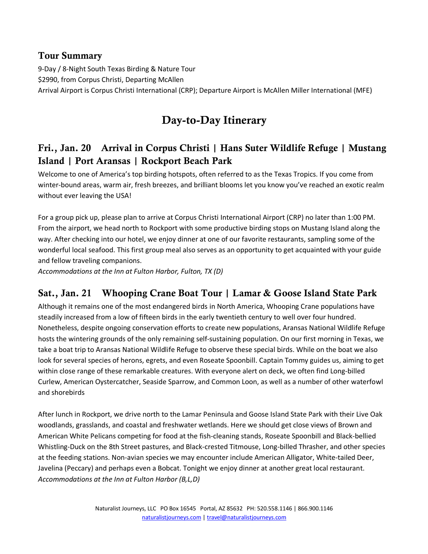#### Tour Summary

9-Day / 8-Night South Texas Birding & Nature Tour \$2990, from Corpus Christi, Departing McAllen Arrival Airport is Corpus Christi International (CRP); Departure Airport is McAllen Miller International (MFE)

## Day-to-Day Itinerary

## Fri., Jan. 20 Arrival in Corpus Christi | Hans Suter Wildlife Refuge | Mustang Island | Port Aransas | Rockport Beach Park

Welcome to one of America's top birding hotspots, often referred to as the Texas Tropics. If you come from winter-bound areas, warm air, fresh breezes, and brilliant blooms let you know you've reached an exotic realm without ever leaving the USA!

For a group pick up, please plan to arrive at Corpus Christi International Airport (CRP) no later than 1:00 PM. From the airport, we head north to Rockport with some productive birding stops on Mustang Island along the way. After checking into our hotel, we enjoy dinner at one of our favorite restaurants, sampling some of the wonderful local seafood. This first group meal also serves as an opportunity to get acquainted with your guide and fellow traveling companions.

*Accommodations at the Inn at Fulton Harbor, Fulton, TX (D)* 

## Sat., Jan. 21 Whooping Crane Boat Tour | Lamar & Goose Island State Park

Although it remains one of the most endangered birds in North America, Whooping Crane populations have steadily increased from a low of fifteen birds in the early twentieth century to well over four hundred. Nonetheless, despite ongoing conservation efforts to create new populations, Aransas National Wildlife Refuge hosts the wintering grounds of the only remaining self-sustaining population. On our first morning in Texas, we take a boat trip to Aransas National Wildlife Refuge to observe these special birds. While on the boat we also look for several species of herons, egrets, and even Roseate Spoonbill. Captain Tommy guides us, aiming to get within close range of these remarkable creatures. With everyone alert on deck, we often find Long-billed Curlew, American Oystercatcher, Seaside Sparrow, and Common Loon, as well as a number of other waterfowl and shorebirds

After lunch in Rockport, we drive north to the Lamar Peninsula and Goose Island State Park with their Live Oak woodlands, grasslands, and coastal and freshwater wetlands. Here we should get close views of Brown and American White Pelicans competing for food at the fish-cleaning stands, Roseate Spoonbill and Black-bellied Whistling-Duck on the 8th Street pastures, and Black-crested Titmouse, Long-billed Thrasher, and other species at the feeding stations. Non-avian species we may encounter include American Alligator, White-tailed Deer, Javelina (Peccary) and perhaps even a Bobcat. Tonight we enjoy dinner at another great local restaurant. *Accommodations at the Inn at Fulton Harbor (B,L,D)*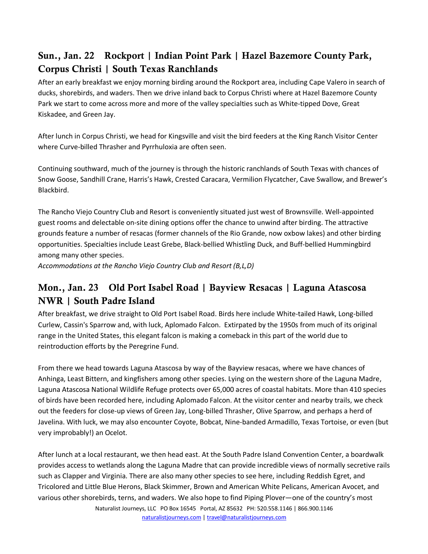## Sun., Jan. 22 Rockport | Indian Point Park | Hazel Bazemore County Park, Corpus Christi | South Texas Ranchlands

After an early breakfast we enjoy morning birding around the Rockport area, including Cape Valero in search of ducks, shorebirds, and waders. Then we drive inland back to Corpus Christi where at Hazel Bazemore County Park we start to come across more and more of the valley specialties such as White-tipped Dove, Great Kiskadee, and Green Jay.

After lunch in Corpus Christi, we head for Kingsville and visit the bird feeders at the King Ranch Visitor Center where Curve-billed Thrasher and Pyrrhuloxia are often seen.

Continuing southward, much of the journey is through the historic ranchlands of South Texas with chances of Snow Goose, Sandhill Crane, Harris's Hawk, Crested Caracara, Vermilion Flycatcher, Cave Swallow, and Brewer's Blackbird.

The Rancho Viejo Country Club and Resort is conveniently situated just west of Brownsville. Well-appointed guest rooms and delectable on-site dining options offer the chance to unwind after birding. The attractive grounds feature a number of resacas (former channels of the Rio Grande, now oxbow lakes) and other birding opportunities. Specialties include Least Grebe, Black-bellied Whistling Duck, and Buff-bellied Hummingbird among many other species.

*Accommodations at the Rancho Viejo Country Club and Resort (B,L,D)* 

## Mon., Jan. 23 Old Port Isabel Road | Bayview Resacas | Laguna Atascosa NWR | South Padre Island

After breakfast, we drive straight to Old Port Isabel Road. Birds here include White-tailed Hawk, Long-billed Curlew, Cassin's Sparrow and, with luck, Aplomado Falcon. Extirpated by the 1950s from much of its original range in the United States, this elegant falcon is making a comeback in this part of the world due to reintroduction efforts by the Peregrine Fund.

From there we head towards Laguna Atascosa by way of the Bayview resacas, where we have chances of Anhinga, Least Bittern, and kingfishers among other species. Lying on the western shore of the Laguna Madre, Laguna Atascosa National Wildlife Refuge protects over 65,000 acres of coastal habitats. More than 410 species of birds have been recorded here, including Aplomado Falcon. At the visitor center and nearby trails, we check out the feeders for close-up views of Green Jay, Long-billed Thrasher, Olive Sparrow, and perhaps a herd of Javelina. With luck, we may also encounter Coyote, Bobcat, Nine-banded Armadillo, Texas Tortoise, or even (but very improbably!) an Ocelot.

Naturalist Journeys, LLC PO Box 16545 Portal, AZ 85632 PH: 520.558.1146 | 866.900.1146 After lunch at a local restaurant, we then head east. At the South Padre Island Convention Center, a boardwalk provides access to wetlands along the Laguna Madre that can provide incredible views of normally secretive rails such as Clapper and Virginia. There are also many other species to see here, including Reddish Egret, and Tricolored and Little Blue Herons, Black Skimmer, Brown and American White Pelicans, American Avocet, and various other shorebirds, terns, and waders. We also hope to find Piping Plover―one of the country's most

naturalistjourneys.com | travel@naturalistjourneys.com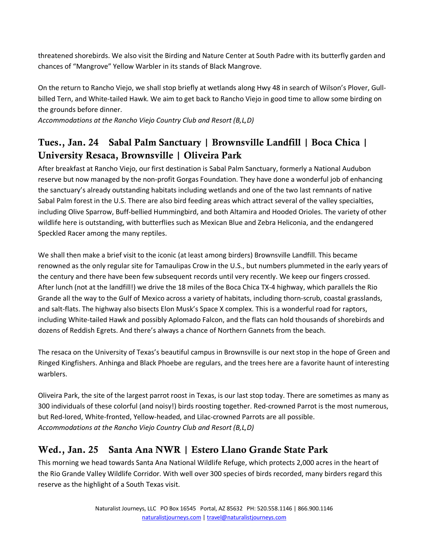threatened shorebirds. We also visit the Birding and Nature Center at South Padre with its butterfly garden and chances of "Mangrove" Yellow Warbler in its stands of Black Mangrove.

On the return to Rancho Viejo, we shall stop briefly at wetlands along Hwy 48 in search of Wilson's Plover, Gullbilled Tern, and White-tailed Hawk. We aim to get back to Rancho Viejo in good time to allow some birding on the grounds before dinner.

*Accommodations at the Rancho Viejo Country Club and Resort (B,L,D)* 

## Tues., Jan. 24 Sabal Palm Sanctuary | Brownsville Landfill | Boca Chica | University Resaca, Brownsville | Oliveira Park

After breakfast at Rancho Viejo, our first destination is Sabal Palm Sanctuary, formerly a National Audubon reserve but now managed by the non-profit Gorgas Foundation. They have done a wonderful job of enhancing the sanctuary's already outstanding habitats including wetlands and one of the two last remnants of native Sabal Palm forest in the U.S. There are also bird feeding areas which attract several of the valley specialties, including Olive Sparrow, Buff-bellied Hummingbird, and both Altamira and Hooded Orioles. The variety of other wildlife here is outstanding, with butterflies such as Mexican Blue and Zebra Heliconia, and the endangered Speckled Racer among the many reptiles.

We shall then make a brief visit to the iconic (at least among birders) Brownsville Landfill. This became renowned as the only regular site for Tamaulipas Crow in the U.S., but numbers plummeted in the early years of the century and there have been few subsequent records until very recently. We keep our fingers crossed. After lunch (not at the landfill!) we drive the 18 miles of the Boca Chica TX-4 highway, which parallels the Rio Grande all the way to the Gulf of Mexico across a variety of habitats, including thorn-scrub, coastal grasslands, and salt-flats. The highway also bisects Elon Musk's Space X complex. This is a wonderful road for raptors, including White-tailed Hawk and possibly Aplomado Falcon, and the flats can hold thousands of shorebirds and dozens of Reddish Egrets. And there's always a chance of Northern Gannets from the beach.

The resaca on the University of Texas's beautiful campus in Brownsville is our next stop in the hope of Green and Ringed Kingfishers. Anhinga and Black Phoebe are regulars, and the trees here are a favorite haunt of interesting warblers.

Oliveira Park, the site of the largest parrot roost in Texas, is our last stop today. There are sometimes as many as 300 individuals of these colorful (and noisy!) birds roosting together. Red-crowned Parrot is the most numerous, but Red-lored, White-fronted, Yellow-headed, and Lilac-crowned Parrots are all possible. *Accommodations at the Rancho Viejo Country Club and Resort (B,L,D)*

## Wed., Jan. 25 Santa Ana NWR | Estero Llano Grande State Park

This morning we head towards Santa Ana National Wildlife Refuge, which protects 2,000 acres in the heart of the Rio Grande Valley Wildlife Corridor. With well over 300 species of birds recorded, many birders regard this reserve as the highlight of a South Texas visit.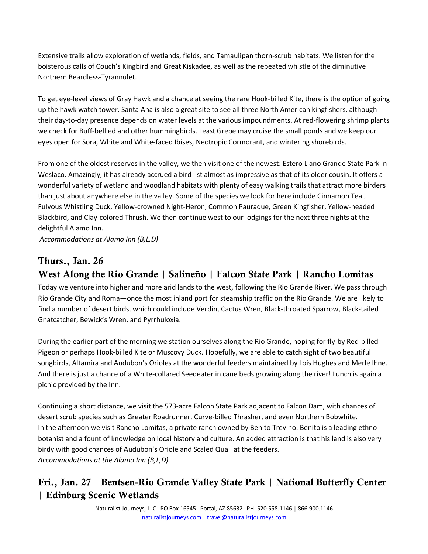Extensive trails allow exploration of wetlands, fields, and Tamaulipan thorn-scrub habitats. We listen for the boisterous calls of Couch's Kingbird and Great Kiskadee, as well as the repeated whistle of the diminutive Northern Beardless-Tyrannulet.

To get eye-level views of Gray Hawk and a chance at seeing the rare Hook-billed Kite, there is the option of going up the hawk watch tower. Santa Ana is also a great site to see all three North American kingfishers, although their day-to-day presence depends on water levels at the various impoundments. At red-flowering shrimp plants we check for Buff-bellied and other hummingbirds. Least Grebe may cruise the small ponds and we keep our eyes open for Sora, White and White-faced Ibises, Neotropic Cormorant, and wintering shorebirds.

From one of the oldest reserves in the valley, we then visit one of the newest: Estero Llano Grande State Park in Weslaco. Amazingly, it has already accrued a bird list almost as impressive as that of its older cousin. It offers a wonderful variety of wetland and woodland habitats with plenty of easy walking trails that attract more birders than just about anywhere else in the valley. Some of the species we look for here include Cinnamon Teal, Fulvous Whistling Duck, Yellow-crowned Night-Heron, Common Pauraque, Green Kingfisher, Yellow-headed Blackbird, and Clay-colored Thrush. We then continue west to our lodgings for the next three nights at the delightful Alamo Inn.

*Accommodations at Alamo Inn (B,L,D)* 

## Thurs., Jan. 26

## West Along the Rio Grande | Salineño | Falcon State Park | Rancho Lomitas

Today we venture into higher and more arid lands to the west, following the Rio Grande River. We pass through Rio Grande City and Roma—once the most inland port for steamship traffic on the Rio Grande. We are likely to find a number of desert birds, which could include Verdin, Cactus Wren, Black-throated Sparrow, Black-tailed Gnatcatcher, Bewick's Wren, and Pyrrhuloxia.

During the earlier part of the morning we station ourselves along the Rio Grande, hoping for fly-by Red-billed Pigeon or perhaps Hook-billed Kite or Muscovy Duck. Hopefully, we are able to catch sight of two beautiful songbirds, Altamira and Audubon's Orioles at the wonderful feeders maintained by Lois Hughes and Merle Ihne. And there is just a chance of a White-collared Seedeater in cane beds growing along the river! Lunch is again a picnic provided by the Inn.

Continuing a short distance, we visit the 573-acre Falcon State Park adjacent to Falcon Dam, with chances of desert scrub species such as Greater Roadrunner, Curve-billed Thrasher, and even Northern Bobwhite. In the afternoon we visit Rancho Lomitas, a private ranch owned by Benito Trevino. Benito is a leading ethnobotanist and a fount of knowledge on local history and culture. An added attraction is that his land is also very birdy with good chances of Audubon's Oriole and Scaled Quail at the feeders. *Accommodations at the Alamo Inn (B,L,D)*

## Fri., Jan. 27 Bentsen-Rio Grande Valley State Park | National Butterfly Center | Edinburg Scenic Wetlands